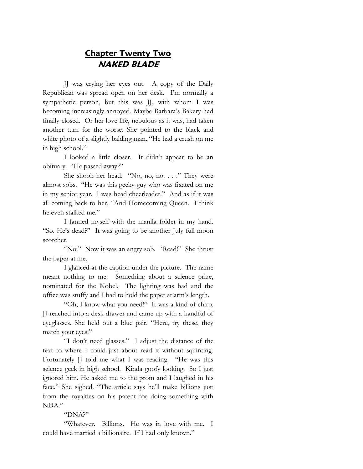## **Chapter Twenty Two NAKED BLADE**

JJ was crying her eyes out. A copy of the Daily Republican was spread open on her desk. I'm normally a sympathetic person, but this was JJ, with whom I was becoming increasingly annoyed. Maybe Barbara's Bakery had finally closed. Or her love life, nebulous as it was, had taken another turn for the worse. She pointed to the black and white photo of a slightly balding man. "He had a crush on me in high school."

I looked a little closer. It didn't appear to be an obituary. "He passed away?"

She shook her head. "No, no, no. . . ." They were almost sobs. "He was this geeky guy who was fixated on me in my senior year. I was head cheerleader." And as if it was all coming back to her, "And Homecoming Queen. I think he even stalked me."

I fanned myself with the manila folder in my hand. "So. He's dead?" It was going to be another July full moon scorcher.

"No!" Now it was an angry sob. "Read!" She thrust the paper at me.

I glanced at the caption under the picture. The name meant nothing to me. Something about a science prize, nominated for the Nobel. The lighting was bad and the office was stuffy and I had to hold the paper at arm's length.

"Oh, I know what you need!" It was a kind of chirp. JJ reached into a desk drawer and came up with a handful of eyeglasses. She held out a blue pair. "Here, try these, they match your eyes."

"I don't need glasses." I adjust the distance of the text to where I could just about read it without squinting. Fortunately JJ told me what I was reading. "He was this science geek in high school. Kinda goofy looking. So I just ignored him. He asked me to the prom and I laughed in his face." She sighed. "The article says he'll make billions just from the royalties on his patent for doing something with NDA."

## "DNA?"

"Whatever. Billions. He was in love with me. I could have married a billionaire. If I had only known."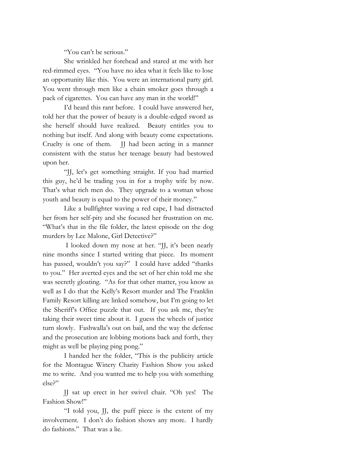"You can't be serious."

She wrinkled her forehead and stared at me with her red-rimmed eyes. "You have no idea what it feels like to lose an opportunity like this. You were an international party girl. You went through men like a chain smoker goes through a pack of cigarettes. You can have any man in the world!"

I'd heard this rant before. I could have answered her, told her that the power of beauty is a double-edged sword as she herself should have realized. Beauty entitles you to nothing but itself. And along with beauty come expectations. Cruelty is one of them. JJ had been acting in a manner consistent with the status her teenage beauty had bestowed upon her.

"JJ, let's get something straight. If you had married this guy, he'd be trading you in for a trophy wife by now. That's what rich men do. They upgrade to a woman whose youth and beauty is equal to the power of their money."

Like a bullfighter waving a red cape, I had distracted her from her self-pity and she focused her frustration on me. "What's that in the file folder, the latest episode on the dog murders by Lee Malone, Girl Detective?"

I looked down my nose at her. "JJ, it's been nearly nine months since I started writing that piece. Its moment has passed, wouldn't you say?" I could have added "thanks to you." Her averted eyes and the set of her chin told me she was secretly gloating. "As for that other matter, you know as well as I do that the Kelly's Resort murder and The Franklin Family Resort killing are linked somehow, but I'm going to let the Sheriff's Office puzzle that out. If you ask me, they're taking their sweet time about it. I guess the wheels of justice turn slowly. Fashwalla's out on bail, and the way the defense and the prosecution are lobbing motions back and forth, they might as well be playing ping pong."

I handed her the folder, "This is the publicity article for the Montague Winery Charity Fashion Show you asked me to write. And you wanted me to help you with something else?"

JJ sat up erect in her swivel chair. "Oh yes! The Fashion Show!"

"I told you, JJ, the puff piece is the extent of my involvement. I don't do fashion shows any more. I hardly do fashions." That was a lie.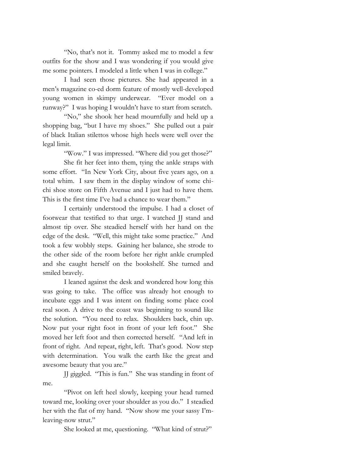"No, that's not it. Tommy asked me to model a few outfits for the show and I was wondering if you would give me some pointers. I modeled a little when I was in college."

I had seen those pictures. She had appeared in a men's magazine co-ed dorm feature of mostly well-developed young women in skimpy underwear. "Ever model on a runway?" I was hoping I wouldn't have to start from scratch.

"No," she shook her head mournfully and held up a shopping bag, "but I have my shoes." She pulled out a pair of black Italian stilettos whose high heels were well over the legal limit.

"Wow." I was impressed. "Where did you get those?"

She fit her feet into them, tying the ankle straps with some effort. "In New York City, about five years ago, on a total whim. I saw them in the display window of some chichi shoe store on Fifth Avenue and I just had to have them. This is the first time I've had a chance to wear them."

I certainly understood the impulse. I had a closet of footwear that testified to that urge. I watched JJ stand and almost tip over. She steadied herself with her hand on the edge of the desk. "Well, this might take some practice." And took a few wobbly steps. Gaining her balance, she strode to the other side of the room before her right ankle crumpled and she caught herself on the bookshelf. She turned and smiled bravely.

I leaned against the desk and wondered how long this was going to take. The office was already hot enough to incubate eggs and I was intent on finding some place cool real soon. A drive to the coast was beginning to sound like the solution. "You need to relax. Shoulders back, chin up. Now put your right foot in front of your left foot." She moved her left foot and then corrected herself. "And left in front of right. And repeat, right, left. That's good. Now step with determination. You walk the earth like the great and awesome beauty that you are."

JJ giggled. "This is fun." She was standing in front of me.

"Pivot on left heel slowly, keeping your head turned toward me, looking over your shoulder as you do." I steadied her with the flat of my hand. "Now show me your sassy I'mleaving-now strut."

She looked at me, questioning. "What kind of strut?"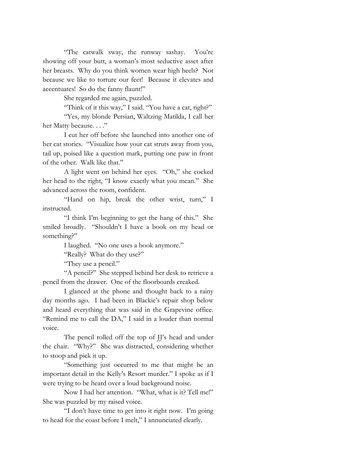"The catwalk sway, the runway sashay. You're showing off your butt, a woman's most seductive asset after her breasts. Why do you think women wear high heels? Not because we like to torture our feet! Because it elevates and accentuates! So do the fanny flaunt!"

She regarded me again, puzzled.

"Think of it this way," I said. "You have a cat, right?"

"Yes, my blonde Persian, Waltzing Matilda, I call her her Matty because. . . ."

I cut her off before she launched into another one of her cat stories. "Visualize how your cat struts away from you, tail up, poised like a question mark, putting one paw in front of the other. Walk like that."

A light went on behind her eyes. "Oh," she cocked her head to the right, "I know exactly what you mean." She advanced across the room, confident.

"Hand on hip, break the other wrist, turn," I instructed.

"I think I'm beginning to get the hang of this." She smiled broadly. "Shouldn't I have a book on my head or something?"

I laughed. "No one uses a book anymore."

"Really? What do they use?"

"They use a pencil."

"A pencil?" She stepped behind her desk to retrieve a pencil from the drawer. One of the floorboards creaked.

I glanced at the phone and thought back to a rainy day months ago. I had been in Blackie's repair shop below and heard everything that was said in the Grapevine office. "Remind me to call the DA," I said in a louder than normal voice.

The pencil rolled off the top of JJ's head and under the chair. "Why?" She was distracted, considering whether to stoop and pick it up.

"Something just occurred to me that might be an important detail in the Kelly's Resort murder." I spoke as if I were trying to be heard over a loud background noise.

Now I had her attention. "What, what is it? Tell me!" She was puzzled by my raised voice.

"I don't have time to get into it right now. I'm going to head for the coast before I melt," I annunciated clearly.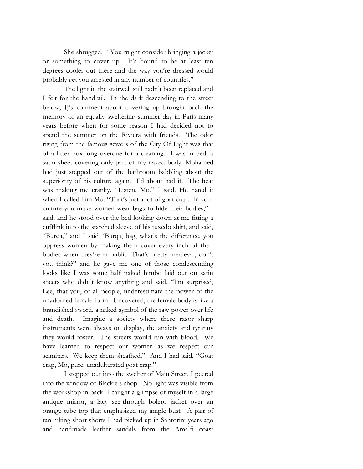She shrugged. "You might consider bringing a jacket or something to cover up. It's bound to be at least ten degrees cooler out there and the way you're dressed would probably get you arrested in any number of countries."

The light in the stairwell still hadn't been replaced and I felt for the handrail. In the dark descending to the street below, JJ's comment about covering up brought back the memory of an equally sweltering summer day in Paris many years before when for some reason I had decided not to spend the summer on the Riviera with friends. The odor rising from the famous sewers of the City Of Light was that of a litter box long overdue for a cleaning. I was in bed, a satin sheet covering only part of my naked body. Mohamed had just stepped out of the bathroom babbling about the superiority of his culture again. I'd about had it. The heat was making me cranky. "Listen, Mo," I said. He hated it when I called him Mo. "That's just a lot of goat crap. In your culture you make women wear bags to hide their bodies," I said, and he stood over the bed looking down at me fitting a cufflink in to the starched sleeve of his tuxedo shirt, and said, "Burqa," and I said "Burqa, bag, what's the difference, you oppress women by making them cover every inch of their bodies when they're in public. That's pretty medieval, don't you think?" and he gave me one of those condescending looks like I was some half naked bimbo laid out on satin sheets who didn't know anything and said, "I'm surprised, Lee, that you, of all people, underestimate the power of the unadorned female form. Uncovered, the female body is like a brandished sword, a naked symbol of the raw power over life and death. Imagine a society where these razor sharp instruments were always on display, the anxiety and tyranny they would foster. The streets would run with blood. We have learned to respect our women as we respect our scimitars. We keep them sheathed." And I had said, "Goat crap, Mo, pure, unadulterated goat crap."

I stepped out into the swelter of Main Street. I peered into the window of Blackie's shop. No light was visible from the workshop in back. I caught a glimpse of myself in a large antique mirror, a lacy see-through bolero jacket over an orange tube top that emphasized my ample bust. A pair of tan hiking short shorts I had picked up in Santorini years ago and handmade leather sandals from the Amalfi coast